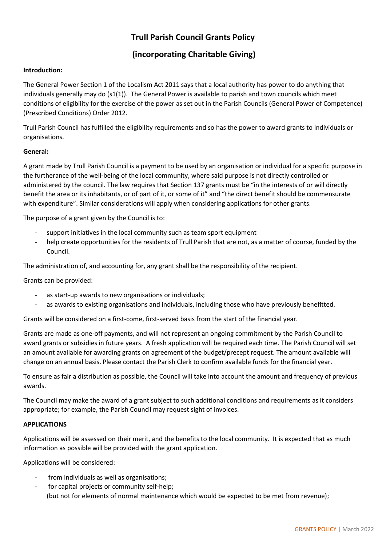# **Trull Parish Council Grants Policy**

# **(incorporating Charitable Giving)**

### **Introduction:**

The General Power Section 1 of the Localism Act 2011 says that a local authority has power to do anything that individuals generally may do (s1(1)). The General Power is available to parish and town councils which meet conditions of eligibility for the exercise of the power as set out in the Parish Councils (General Power of Competence) (Prescribed Conditions) Order 2012.

Trull Parish Council has fulfilled the eligibility requirements and so has the power to award grants to individuals or organisations.

### **General:**

A grant made by Trull Parish Council is a payment to be used by an organisation or individual for a specific purpose in the furtherance of the well-being of the local community, where said purpose is not directly controlled or administered by the council. The law requires that Section 137 grants must be "in the interests of or will directly benefit the area or its inhabitants, or of part of it, or some of it" and "the direct benefit should be commensurate with expenditure". Similar considerations will apply when considering applications for other grants.

The purpose of a grant given by the Council is to:

- support initiatives in the local community such as team sport equipment
- help create opportunities for the residents of Trull Parish that are not, as a matter of course, funded by the Council.

The administration of, and accounting for, any grant shall be the responsibility of the recipient.

Grants can be provided:

- as start-up awards to new organisations or individuals;
- as awards to existing organisations and individuals, including those who have previously benefitted.

Grants will be considered on a first-come, first-served basis from the start of the financial year.

Grants are made as one-off payments, and will not represent an ongoing commitment by the Parish Council to award grants or subsidies in future years. A fresh application will be required each time. The Parish Council will set an amount available for awarding grants on agreement of the budget/precept request. The amount available will change on an annual basis. Please contact the Parish Clerk to confirm available funds for the financial year.

To ensure as fair a distribution as possible, the Council will take into account the amount and frequency of previous awards.

The Council may make the award of a grant subject to such additional conditions and requirements as it considers appropriate; for example, the Parish Council may request sight of invoices.

### **APPLICATIONS**

Applications will be assessed on their merit, and the benefits to the local community. It is expected that as much information as possible will be provided with the grant application.

Applications will be considered:

- from individuals as well as organisations;
- for capital projects or community self-help; (but not for elements of normal maintenance which would be expected to be met from revenue);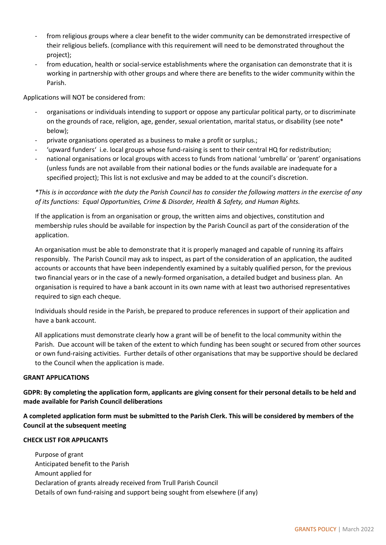- from religious groups where a clear benefit to the wider community can be demonstrated irrespective of their religious beliefs. (compliance with this requirement will need to be demonstrated throughout the project);
- from education, health or social-service establishments where the organisation can demonstrate that it is working in partnership with other groups and where there are benefits to the wider community within the Parish.

Applications will NOT be considered from:

- organisations or individuals intending to support or oppose any particular political party, or to discriminate on the grounds of race, religion, age, gender, sexual orientation, marital status, or disability (see note\* below);
- private organisations operated as a business to make a profit or surplus.;
- 'upward funders' i.e. local groups whose fund-raising is sent to their central HQ for redistribution;
- national organisations or local groups with access to funds from national 'umbrella' or 'parent' organisations (unless funds are not available from their national bodies or the funds available are inadequate for a specified project); This list is not exclusive and may be added to at the council's discretion.

*\*This is in accordance with the duty the Parish Council has to consider the following matters in the exercise of any of its functions: Equal Opportunities, Crime & Disorder, Health & Safety, and Human Rights.*

If the application is from an organisation or group, the written aims and objectives, constitution and membership rules should be available for inspection by the Parish Council as part of the consideration of the application.

An organisation must be able to demonstrate that it is properly managed and capable of running its affairs responsibly. The Parish Council may ask to inspect, as part of the consideration of an application, the audited accounts or accounts that have been independently examined by a suitably qualified person, for the previous two financial years or in the case of a newly-formed organisation, a detailed budget and business plan. An organisation is required to have a bank account in its own name with at least two authorised representatives required to sign each cheque.

Individuals should reside in the Parish, be prepared to produce references in support of their application and have a bank account.

All applications must demonstrate clearly how a grant will be of benefit to the local community within the Parish. Due account will be taken of the extent to which funding has been sought or secured from other sources or own fund-raising activities. Further details of other organisations that may be supportive should be declared to the Council when the application is made.

### **GRANT APPLICATIONS**

**GDPR: By completing the application form, applicants are giving consent for their personal details to be held and made available for Parish Council deliberations**

**A completed application form must be submitted to the Parish Clerk. This will be considered by members of the Council at the subsequent meeting**

### **CHECK LIST FOR APPLICANTS**

Purpose of grant Anticipated benefit to the Parish Amount applied for Declaration of grants already received from Trull Parish Council Details of own fund-raising and support being sought from elsewhere (if any)